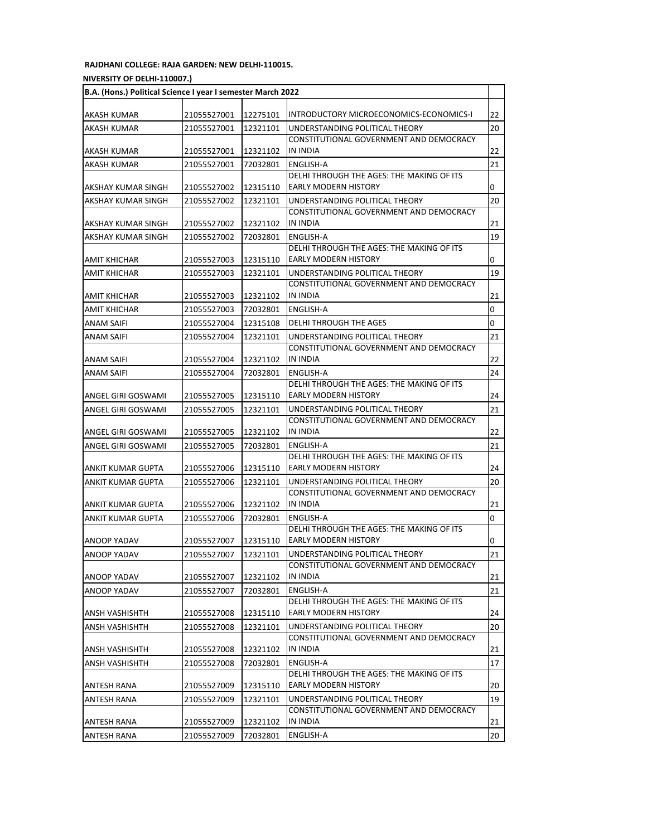## **RAJDHANI COLLEGE: RAJA GARDEN: NEW DELHI-110015.**

## **(UNIVERSITY OF DELHI-110007.)**

| B.A. (Hons.) Political Science I year I semester March 2022 |             |          |                                                                           |                |  |
|-------------------------------------------------------------|-------------|----------|---------------------------------------------------------------------------|----------------|--|
| AKASH KUMAR                                                 | 21055527001 | 12275101 | INTRODUCTORY MICROECONOMICS-ECONOMICS-I                                   | 22             |  |
| AKASH KUMAR                                                 | 21055527001 | 12321101 | UNDERSTANDING POLITICAL THEORY                                            | 20             |  |
|                                                             |             |          | CONSTITUTIONAL GOVERNMENT AND DEMOCRACY                                   |                |  |
| AKASH KUMAR                                                 | 21055527001 | 12321102 | IN INDIA                                                                  | 22             |  |
| AKASH KUMAR                                                 | 21055527001 | 72032801 | ENGLISH-A                                                                 | 21             |  |
|                                                             |             |          | DELHI THROUGH THE AGES: THE MAKING OF ITS                                 |                |  |
| AKSHAY KUMAR SINGH                                          | 21055527002 | 12315110 | <b>EARLY MODERN HISTORY</b>                                               | 0              |  |
| AKSHAY KUMAR SINGH                                          | 21055527002 | 12321101 | UNDERSTANDING POLITICAL THEORY                                            | 20             |  |
|                                                             |             |          | CONSTITUTIONAL GOVERNMENT AND DEMOCRACY                                   |                |  |
| AKSHAY KUMAR SINGH                                          | 21055527002 | 12321102 | IN INDIA                                                                  | 21             |  |
| AKSHAY KUMAR SINGH                                          | 21055527002 | 72032801 | ENGLISH-A<br>DELHI THROUGH THE AGES: THE MAKING OF ITS                    | 19             |  |
| AMIT KHICHAR                                                | 21055527003 | 12315110 | EARLY MODERN HISTORY                                                      | 0              |  |
| AMIT KHICHAR                                                | 21055527003 | 12321101 | UNDERSTANDING POLITICAL THEORY                                            | 19             |  |
|                                                             |             |          | CONSTITUTIONAL GOVERNMENT AND DEMOCRACY                                   |                |  |
| <b>AMIT KHICHAR</b>                                         | 21055527003 | 12321102 | IN INDIA                                                                  | 21             |  |
| AMIT KHICHAR                                                | 21055527003 | 72032801 | ENGLISH-A                                                                 | 0              |  |
| ANAM SAIFI                                                  | 21055527004 | 12315108 | DELHI THROUGH THE AGES                                                    | 0              |  |
| ANAM SAIFI                                                  | 21055527004 | 12321101 | UNDERSTANDING POLITICAL THEORY                                            | 21             |  |
|                                                             |             |          | CONSTITUTIONAL GOVERNMENT AND DEMOCRACY                                   |                |  |
| ANAM SAIFI                                                  | 21055527004 | 12321102 | IN INDIA                                                                  | 22             |  |
| ANAM SAIFI                                                  | 21055527004 | 72032801 | ENGLISH-A                                                                 | 24             |  |
|                                                             |             |          | DELHI THROUGH THE AGES: THE MAKING OF ITS                                 |                |  |
| ANGEL GIRI GOSWAMI                                          | 21055527005 | 12315110 | <b>EARLY MODERN HISTORY</b>                                               | 24             |  |
| ANGEL GIRI GOSWAMI                                          | 21055527005 | 12321101 | UNDERSTANDING POLITICAL THEORY<br>CONSTITUTIONAL GOVERNMENT AND DEMOCRACY | 21             |  |
| ANGEL GIRI GOSWAMI                                          | 21055527005 | 12321102 | IN INDIA                                                                  | 22             |  |
| ANGEL GIRI GOSWAMI                                          | 21055527005 | 72032801 | ENGLISH-A                                                                 | 21             |  |
|                                                             |             |          | DELHI THROUGH THE AGES: THE MAKING OF ITS                                 |                |  |
| ANKIT KUMAR GUPTA                                           | 21055527006 | 12315110 | EARLY MODERN HISTORY                                                      | 24             |  |
| ANKIT KUMAR GUPTA                                           | 21055527006 | 12321101 | UNDERSTANDING POLITICAL THEORY                                            | 20             |  |
|                                                             |             |          | CONSTITUTIONAL GOVERNMENT AND DEMOCRACY                                   |                |  |
| ANKIT KUMAR GUPTA                                           | 21055527006 | 12321102 | IN INDIA                                                                  | 21             |  |
| ANKIT KUMAR GUPTA                                           | 21055527006 | 72032801 | ENGLISH-A                                                                 | $\overline{0}$ |  |
|                                                             |             |          | DELHI THROUGH THE AGES: THE MAKING OF ITS                                 |                |  |
| ANOOP YADAV                                                 | 21055527007 | 12315110 | <b>EARLY MODERN HISTORY</b>                                               | 0              |  |
| <b>ANOOP YADAV</b>                                          | 21055527007 | 12321101 | UNDERSTANDING POLITICAL THEORY<br>CONSTITUTIONAL GOVERNMENT AND DEMOCRACY | 21             |  |
| ANOOP YADAV                                                 | 21055527007 | 12321102 | IN INDIA                                                                  | 21             |  |
| ANOOP YADAV                                                 | 21055527007 | 72032801 | ENGLISH-A                                                                 | 21             |  |
|                                                             |             |          | DELHI THROUGH THE AGES: THE MAKING OF ITS                                 |                |  |
| ANSH VASHISHTH                                              | 21055527008 | 12315110 | <b>EARLY MODERN HISTORY</b>                                               | 24             |  |
| ANSH VASHISHTH                                              | 21055527008 | 12321101 | UNDERSTANDING POLITICAL THEORY                                            | 20             |  |
|                                                             |             |          | CONSTITUTIONAL GOVERNMENT AND DEMOCRACY                                   |                |  |
| ANSH VASHISHTH                                              | 21055527008 | 12321102 | IN INDIA                                                                  | 21             |  |
| ANSH VASHISHTH                                              | 21055527008 | 72032801 | <b>ENGLISH-A</b><br>DELHI THROUGH THE AGES: THE MAKING OF ITS             | 17             |  |
| ANTESH RANA                                                 | 21055527009 | 12315110 | <b>EARLY MODERN HISTORY</b>                                               | 20             |  |
| ANTESH RANA                                                 | 21055527009 | 12321101 | UNDERSTANDING POLITICAL THEORY                                            | 19             |  |
|                                                             |             |          | CONSTITUTIONAL GOVERNMENT AND DEMOCRACY                                   |                |  |
| ANTESH RANA                                                 | 21055527009 | 12321102 | IN INDIA                                                                  | 21             |  |
| ANTESH RANA                                                 | 21055527009 | 72032801 | ENGLISH-A                                                                 | 20             |  |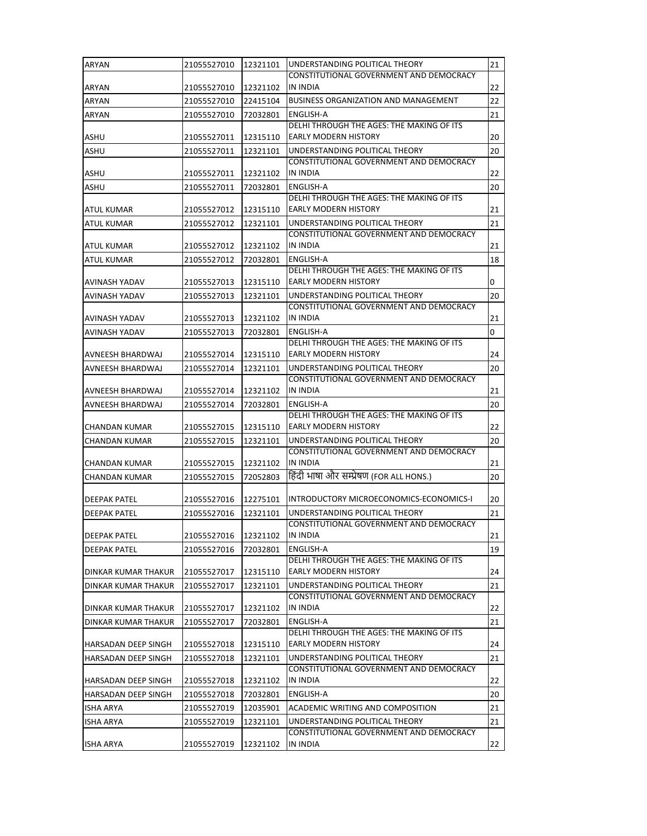| ARYAN                      | 21055527010 | 12321101 | UNDERSTANDING POLITICAL THEORY                                            | 21       |
|----------------------------|-------------|----------|---------------------------------------------------------------------------|----------|
|                            |             |          | CONSTITUTIONAL GOVERNMENT AND DEMOCRACY                                   |          |
| ARYAN                      | 21055527010 | 12321102 | IN INDIA                                                                  | 22       |
| ARYAN                      | 21055527010 | 22415104 | <b>BUSINESS ORGANIZATION AND MANAGEMENT</b>                               | 22       |
| ARYAN                      | 21055527010 | 72032801 | ENGLISH-A<br>DELHI THROUGH THE AGES: THE MAKING OF ITS                    | 21       |
| ASHU                       | 21055527011 | 12315110 | <b>EARLY MODERN HISTORY</b>                                               | 20       |
| ASHU                       | 21055527011 | 12321101 | UNDERSTANDING POLITICAL THEORY                                            | 20       |
|                            |             |          | CONSTITUTIONAL GOVERNMENT AND DEMOCRACY                                   |          |
| ASHU                       | 21055527011 | 12321102 | IN INDIA                                                                  | 22       |
| ASHU                       | 21055527011 | 72032801 | ENGLISH-A                                                                 | 20       |
| ATUL KUMAR                 | 21055527012 | 12315110 | DELHI THROUGH THE AGES: THE MAKING OF ITS<br><b>EARLY MODERN HISTORY</b>  | 21       |
| ATUL KUMAR                 | 21055527012 | 12321101 | UNDERSTANDING POLITICAL THEORY                                            | 21       |
|                            |             |          | CONSTITUTIONAL GOVERNMENT AND DEMOCRACY                                   |          |
| ATUL KUMAR                 | 21055527012 | 12321102 | IN INDIA                                                                  | 21       |
| ATUL KUMAR                 | 21055527012 | 72032801 | ENGLISH-A                                                                 | 18       |
|                            |             |          | DELHI THROUGH THE AGES: THE MAKING OF ITS                                 |          |
| AVINASH YADAV              | 21055527013 | 12315110 | <b>EARLY MODERN HISTORY</b>                                               | 0        |
| AVINASH YADAV              | 21055527013 | 12321101 | UNDERSTANDING POLITICAL THEORY                                            | 20       |
|                            |             |          | CONSTITUTIONAL GOVERNMENT AND DEMOCRACY                                   |          |
| AVINASH YADAV              | 21055527013 | 12321102 | IN INDIA                                                                  | 21       |
| AVINASH YADAV              | 21055527013 | 72032801 | ENGLISH-A<br>DELHI THROUGH THE AGES: THE MAKING OF ITS                    | 0        |
| AVNEESH BHARDWAJ           | 21055527014 | 12315110 | <b>EARLY MODERN HISTORY</b>                                               | 24       |
| AVNEESH BHARDWAJ           | 21055527014 | 12321101 | UNDERSTANDING POLITICAL THEORY                                            | 20       |
|                            |             |          | CONSTITUTIONAL GOVERNMENT AND DEMOCRACY                                   |          |
| AVNEESH BHARDWAJ           | 21055527014 | 12321102 | IN INDIA                                                                  | 21       |
| AVNEESH BHARDWAJ           | 21055527014 | 72032801 | ENGLISH-A                                                                 | 20       |
|                            |             |          | DELHI THROUGH THE AGES: THE MAKING OF ITS                                 |          |
| CHANDAN KUMAR              | 21055527015 | 12315110 | <b>EARLY MODERN HISTORY</b>                                               | 22       |
| CHANDAN KUMAR              | 21055527015 | 12321101 | UNDERSTANDING POLITICAL THEORY<br>CONSTITUTIONAL GOVERNMENT AND DEMOCRACY | 20       |
| CHANDAN KUMAR              | 21055527015 | 12321102 | IN INDIA                                                                  | 21       |
| <b>CHANDAN KUMAR</b>       | 21055527015 | 72052803 | हिंदी भाषा और सम्प्रेषण (FOR ALL HONS.)                                   | 20       |
|                            |             |          |                                                                           |          |
| <b>DEEPAK PATEL</b>        | 21055527016 | 12275101 | INTRODUCTORY MICROECONOMICS-ECONOMICS-I                                   | 20       |
| <b>DEEPAK PATEL</b>        | 21055527016 | 12321101 | UNDERSTANDING POLITICAL THEORY                                            | 21       |
|                            |             |          | CONSTITUTIONAL GOVERNMENT AND DEMOCRACY                                   |          |
| <b>DEEPAK PATEL</b>        | 21055527016 | 12321102 | IN INDIA                                                                  | 21       |
| <b>DEEPAK PATEL</b>        | 21055527016 | 72032801 | ENGLISH-A                                                                 | 19       |
| DINKAR KUMAR THAKUR        | 21055527017 | 12315110 | DELHI THROUGH THE AGES: THE MAKING OF ITS<br><b>EARLY MODERN HISTORY</b>  | 24       |
| DINKAR KUMAR THAKUR        | 21055527017 | 12321101 | UNDERSTANDING POLITICAL THEORY                                            | 21       |
|                            |             |          | CONSTITUTIONAL GOVERNMENT AND DEMOCRACY                                   |          |
| DINKAR KUMAR THAKUR        | 21055527017 | 12321102 | IN INDIA                                                                  | 22       |
| <b>DINKAR KUMAR THAKUR</b> | 21055527017 | 72032801 | ENGLISH-A                                                                 | 21       |
|                            |             |          | DELHI THROUGH THE AGES: THE MAKING OF ITS                                 |          |
| HARSADAN DEEP SINGH        | 21055527018 | 12315110 | <b>EARLY MODERN HISTORY</b>                                               | 24       |
| HARSADAN DEEP SINGH        | 21055527018 | 12321101 | UNDERSTANDING POLITICAL THEORY                                            | 21       |
|                            |             |          | CONSTITUTIONAL GOVERNMENT AND DEMOCRACY<br>IN INDIA                       |          |
| HARSADAN DEEP SINGH        | 21055527018 | 12321102 | ENGLISH-A                                                                 | 22<br>20 |
| HARSADAN DEEP SINGH        | 21055527018 | 72032801 | ACADEMIC WRITING AND COMPOSITION                                          |          |
| <b>ISHA ARYA</b>           | 21055527019 | 12035901 |                                                                           | 21       |
| <b>ISHA ARYA</b>           | 21055527019 | 12321101 | UNDERSTANDING POLITICAL THEORY<br>CONSTITUTIONAL GOVERNMENT AND DEMOCRACY | 21       |
| <b>ISHA ARYA</b>           | 21055527019 | 12321102 | IN INDIA                                                                  | 22       |
|                            |             |          |                                                                           |          |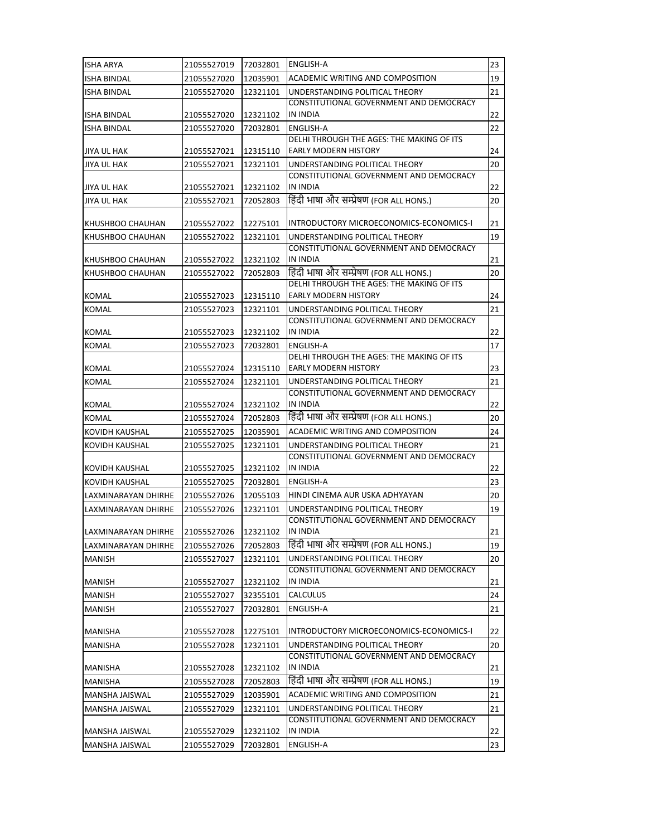| <b>ISHA ARYA</b>      | 21055527019 | 72032801 | ENGLISH-A                                                                 | 23 |
|-----------------------|-------------|----------|---------------------------------------------------------------------------|----|
| <b>ISHA BINDAL</b>    | 21055527020 | 12035901 | ACADEMIC WRITING AND COMPOSITION                                          | 19 |
| <b>ISHA BINDAL</b>    | 21055527020 | 12321101 | UNDERSTANDING POLITICAL THEORY                                            | 21 |
|                       |             |          | CONSTITUTIONAL GOVERNMENT AND DEMOCRACY                                   |    |
| <b>ISHA BINDAL</b>    | 21055527020 | 12321102 | IN INDIA                                                                  | 22 |
| <b>ISHA BINDAL</b>    | 21055527020 | 72032801 | <b>ENGLISH-A</b><br>DELHI THROUGH THE AGES: THE MAKING OF ITS             | 22 |
| JIYA UL HAK           | 21055527021 | 12315110 | <b>EARLY MODERN HISTORY</b>                                               | 24 |
| <b>JIYA UL HAK</b>    | 21055527021 | 12321101 | UNDERSTANDING POLITICAL THEORY                                            | 20 |
|                       |             |          | CONSTITUTIONAL GOVERNMENT AND DEMOCRACY                                   |    |
| JIYA UL HAK           | 21055527021 | 12321102 | IN INDIA                                                                  | 22 |
| JIYA UL HAK           | 21055527021 | 72052803 | हिंदी भाषा और सम्प्रेषण (FOR ALL HONS.)                                   | 20 |
|                       |             |          |                                                                           |    |
| KHUSHBOO CHAUHAN      | 21055527022 | 12275101 | INTRODUCTORY MICROECONOMICS-ECONOMICS-I<br>UNDERSTANDING POLITICAL THEORY | 21 |
| KHUSHBOO CHAUHAN      | 21055527022 | 12321101 | CONSTITUTIONAL GOVERNMENT AND DEMOCRACY                                   | 19 |
| KHUSHBOO CHAUHAN      | 21055527022 | 12321102 | IN INDIA                                                                  | 21 |
| KHUSHBOO CHAUHAN      | 21055527022 | 72052803 | हिंदी भाषा और सम्प्रेषण (FOR ALL HONS.)                                   | 20 |
|                       |             |          | DELHI THROUGH THE AGES: THE MAKING OF ITS                                 |    |
| KOMAL                 | 21055527023 | 12315110 | <b>EARLY MODERN HISTORY</b>                                               | 24 |
| <b>KOMAL</b>          | 21055527023 | 12321101 | UNDERSTANDING POLITICAL THEORY                                            | 21 |
|                       | 21055527023 | 12321102 | CONSTITUTIONAL GOVERNMENT AND DEMOCRACY<br>IN INDIA                       | 22 |
| KOMAL                 | 21055527023 | 72032801 | <b>ENGLISH-A</b>                                                          | 17 |
| KOMAL                 |             |          | DELHI THROUGH THE AGES: THE MAKING OF ITS                                 |    |
| KOMAL                 | 21055527024 | 12315110 | <b>EARLY MODERN HISTORY</b>                                               | 23 |
| <b>KOMAL</b>          | 21055527024 | 12321101 | UNDERSTANDING POLITICAL THEORY                                            | 21 |
|                       |             |          | CONSTITUTIONAL GOVERNMENT AND DEMOCRACY                                   |    |
| <b>KOMAL</b>          | 21055527024 | 12321102 | IN INDIA                                                                  | 22 |
| KOMAL                 | 21055527024 | 72052803 | हिंदी भाषा और सम्प्रेषण (FOR ALL HONS.)                                   | 20 |
| KOVIDH KAUSHAL        | 21055527025 | 12035901 | ACADEMIC WRITING AND COMPOSITION                                          | 24 |
| KOVIDH KAUSHAL        | 21055527025 | 12321101 | UNDERSTANDING POLITICAL THEORY<br>CONSTITUTIONAL GOVERNMENT AND DEMOCRACY | 21 |
| <b>KOVIDH KAUSHAL</b> | 21055527025 | 12321102 | IN INDIA                                                                  | 22 |
| KOVIDH KAUSHAL        | 21055527025 | 72032801 | ENGLISH-A                                                                 | 23 |
| LAXMINARAYAN DHIRHE   | 21055527026 | 12055103 | HINDI CINEMA AUR USKA ADHYAYAN                                            | 20 |
| LAXMINARAYAN DHIRHE   | 21055527026 | 12321101 | UNDERSTANDING POLITICAL THEORY                                            | 19 |
|                       |             |          | CONSTITUTIONAL GOVERNMENT AND DEMOCRACY                                   |    |
| LAXMINARAYAN DHIRHE   | 21055527026 | 12321102 | IN INDIA                                                                  | 21 |
| LAXMINARAYAN DHIRHE   | 21055527026 | 72052803 | हिंदी भाषा और सम्प्रेषण (FOR ALL HONS.)                                   | 19 |
| <b>MANISH</b>         | 21055527027 | 12321101 | UNDERSTANDING POLITICAL THEORY                                            | 20 |
|                       |             |          | CONSTITUTIONAL GOVERNMENT AND DEMOCRACY                                   |    |
| MANISH                | 21055527027 | 12321102 | IN INDIA                                                                  | 21 |
| <b>MANISH</b>         | 21055527027 | 32355101 | CALCULUS                                                                  | 24 |
| <b>MANISH</b>         | 21055527027 | 72032801 | ENGLISH-A                                                                 | 21 |
| MANISHA               | 21055527028 | 12275101 | INTRODUCTORY MICROECONOMICS-ECONOMICS-I                                   | 22 |
| <b>MANISHA</b>        | 21055527028 | 12321101 | UNDERSTANDING POLITICAL THEORY                                            | 20 |
|                       |             |          | CONSTITUTIONAL GOVERNMENT AND DEMOCRACY                                   |    |
| MANISHA               | 21055527028 | 12321102 | IN INDIA                                                                  | 21 |
| MANISHA               | 21055527028 | 72052803 | हिंदी भाषा और सम्प्रेषण (FOR ALL HONS.)                                   | 19 |
| MANSHA JAISWAL        | 21055527029 | 12035901 | ACADEMIC WRITING AND COMPOSITION                                          | 21 |
| MANSHA JAISWAL        | 21055527029 | 12321101 | UNDERSTANDING POLITICAL THEORY                                            | 21 |
|                       |             |          | CONSTITUTIONAL GOVERNMENT AND DEMOCRACY                                   |    |
| MANSHA JAISWAL        | 21055527029 | 12321102 | IN INDIA                                                                  | 22 |
| <b>MANSHA JAISWAL</b> | 21055527029 | 72032801 | ENGLISH-A                                                                 | 23 |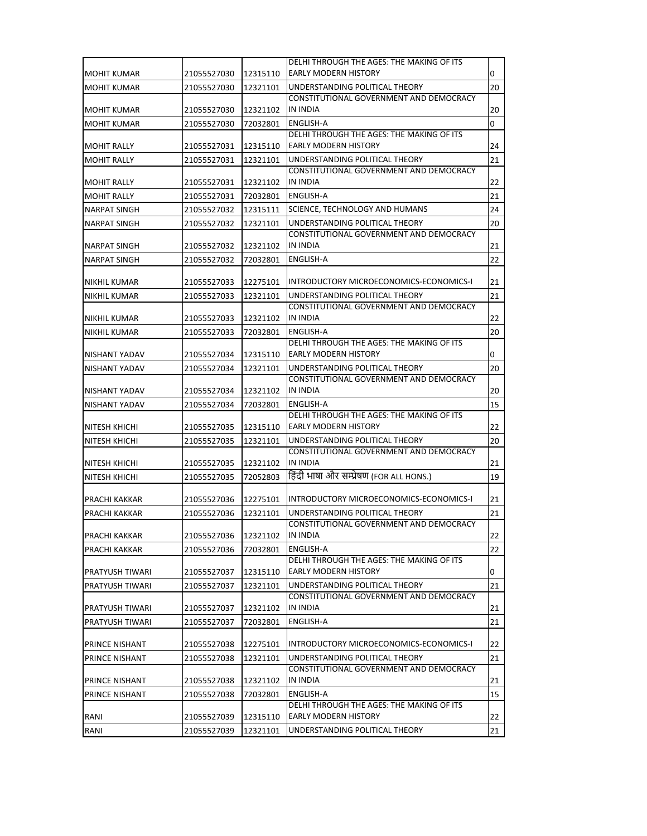|                                     |             |          | DELHI THROUGH THE AGES: THE MAKING OF ITS                                 |              |
|-------------------------------------|-------------|----------|---------------------------------------------------------------------------|--------------|
| MOHIT KUMAR                         | 21055527030 | 12315110 | <b>EARLY MODERN HISTORY</b>                                               | 0            |
| <b>MOHIT KUMAR</b>                  | 21055527030 | 12321101 | UNDERSTANDING POLITICAL THEORY                                            | 20           |
|                                     |             |          | CONSTITUTIONAL GOVERNMENT AND DEMOCRACY                                   |              |
| <b>MOHIT KUMAR</b>                  | 21055527030 | 12321102 | <b>IN INDIA</b>                                                           | 20           |
| <b>MOHIT KUMAR</b>                  | 21055527030 | 72032801 | <b>ENGLISH-A</b>                                                          | $\mathsf{O}$ |
|                                     |             |          | DELHI THROUGH THE AGES: THE MAKING OF ITS                                 |              |
| MOHIT RALLY                         | 21055527031 | 12315110 | <b>EARLY MODERN HISTORY</b>                                               | 24           |
| <b>MOHIT RALLY</b>                  | 21055527031 | 12321101 | UNDERSTANDING POLITICAL THEORY<br>CONSTITUTIONAL GOVERNMENT AND DEMOCRACY | 21           |
| <b>MOHIT RALLY</b>                  | 21055527031 | 12321102 | IN INDIA                                                                  | 22           |
| <b>MOHIT RALLY</b>                  | 21055527031 | 72032801 | ENGLISH-A                                                                 | 21           |
| <b>NARPAT SINGH</b>                 | 21055527032 | 12315111 | SCIENCE, TECHNOLOGY AND HUMANS                                            | 24           |
| <b>NARPAT SINGH</b>                 | 21055527032 | 12321101 | UNDERSTANDING POLITICAL THEORY                                            | 20           |
|                                     |             |          | CONSTITUTIONAL GOVERNMENT AND DEMOCRACY                                   |              |
| NARPAT SINGH                        | 21055527032 | 12321102 | <b>IN INDIA</b>                                                           | 21           |
| <b>NARPAT SINGH</b>                 | 21055527032 | 72032801 | ENGLISH-A                                                                 | 22           |
|                                     | 21055527033 | 12275101 | INTRODUCTORY MICROECONOMICS-ECONOMICS-I                                   | 21           |
| NIKHIL KUMAR<br><b>NIKHIL KUMAR</b> | 21055527033 | 12321101 | UNDERSTANDING POLITICAL THEORY                                            | 21           |
|                                     |             |          | CONSTITUTIONAL GOVERNMENT AND DEMOCRACY                                   |              |
| NIKHIL KUMAR                        | 21055527033 | 12321102 | <b>IN INDIA</b>                                                           | 22           |
| NIKHIL KUMAR                        | 21055527033 | 72032801 | <b>ENGLISH-A</b>                                                          | 20           |
|                                     |             |          | DELHI THROUGH THE AGES: THE MAKING OF ITS                                 |              |
| NISHANT YADAV                       | 21055527034 | 12315110 | <b>EARLY MODERN HISTORY</b>                                               | 0            |
| NISHANT YADAV                       | 21055527034 | 12321101 | UNDERSTANDING POLITICAL THEORY                                            | 20           |
| NISHANT YADAV                       | 21055527034 | 12321102 | CONSTITUTIONAL GOVERNMENT AND DEMOCRACY<br><b>IN INDIA</b>                | 20           |
| NISHANT YADAV                       | 21055527034 | 72032801 | <b>ENGLISH-A</b>                                                          | 15           |
|                                     |             |          | DELHI THROUGH THE AGES: THE MAKING OF ITS                                 |              |
| NITESH KHICHI                       | 21055527035 | 12315110 | <b>EARLY MODERN HISTORY</b>                                               | 22           |
| NITESH KHICHI                       | 21055527035 | 12321101 | UNDERSTANDING POLITICAL THEORY                                            | 20           |
|                                     |             |          | CONSTITUTIONAL GOVERNMENT AND DEMOCRACY                                   |              |
| NITESH KHICHI                       | 21055527035 | 12321102 | <b>IN INDIA</b>                                                           | 21           |
| NITESH KHICHI                       | 21055527035 | 72052803 | हिंदी भाषा और सम्प्रेषण (FOR ALL HONS.)                                   | 19           |
| PRACHI KAKKAR                       | 21055527036 | 12275101 | INTRODUCTORY MICROECONOMICS-ECONOMICS-I                                   | 21           |
| PRACHI KAKKAR                       | 21055527036 | 12321101 | UNDERSTANDING POLITICAL THEORY                                            | 21           |
|                                     |             |          | CONSTITUTIONAL GOVERNMENT AND DEMOCRACY                                   |              |
| PRACHI KAKKAR                       | 21055527036 | 12321102 | <b>IN INDIA</b>                                                           | 22           |
| PRACHI KAKKAR                       | 21055527036 | 72032801 | <b>ENGLISH-A</b>                                                          | 22           |
|                                     |             |          | DELHI THROUGH THE AGES: THE MAKING OF ITS                                 |              |
| PRATYUSH TIWARI                     | 21055527037 | 12315110 | <b>EARLY MODERN HISTORY</b>                                               | 0            |
| PRATYUSH TIWARI                     | 21055527037 | 12321101 | UNDERSTANDING POLITICAL THEORY<br>CONSTITUTIONAL GOVERNMENT AND DEMOCRACY | 21           |
| PRATYUSH TIWARI                     | 21055527037 | 12321102 | IN INDIA                                                                  | 21           |
| PRATYUSH TIWARI                     | 21055527037 | 72032801 | ENGLISH-A                                                                 | 21           |
|                                     |             |          |                                                                           |              |
| PRINCE NISHANT                      | 21055527038 | 12275101 | INTRODUCTORY MICROECONOMICS-ECONOMICS-I                                   | 22           |
| PRINCE NISHANT                      | 21055527038 | 12321101 | UNDERSTANDING POLITICAL THEORY                                            | 21           |
|                                     |             |          | CONSTITUTIONAL GOVERNMENT AND DEMOCRACY                                   |              |
| PRINCE NISHANT                      | 21055527038 | 12321102 | IN INDIA                                                                  | 21           |
| PRINCE NISHANT                      | 21055527038 | 72032801 | <b>ENGLISH-A</b><br>DELHI THROUGH THE AGES: THE MAKING OF ITS             | 15           |
| RANI                                | 21055527039 | 12315110 | <b>EARLY MODERN HISTORY</b>                                               | 22           |
| RANI                                | 21055527039 | 12321101 | UNDERSTANDING POLITICAL THEORY                                            | 21           |
|                                     |             |          |                                                                           |              |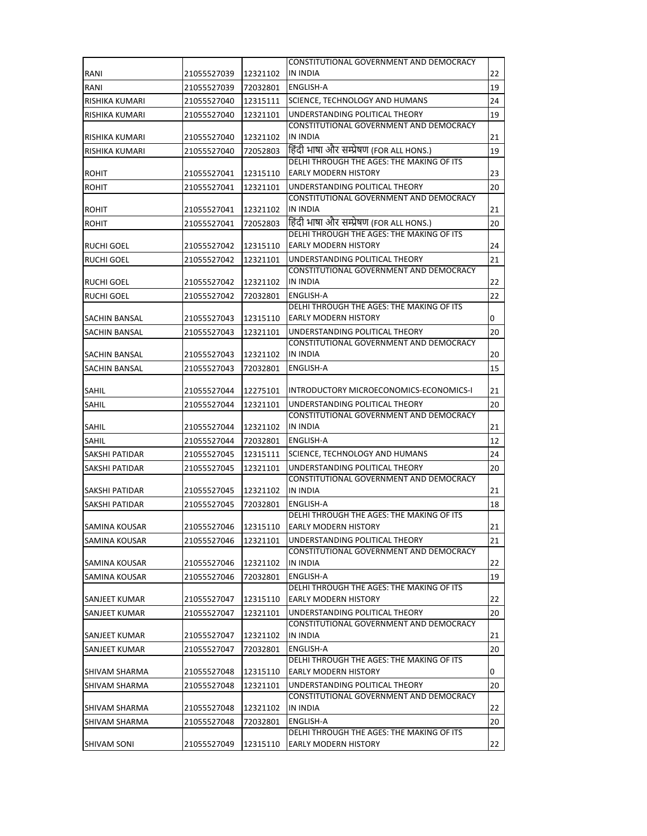|                      |                      |          | CONSTITUTIONAL GOVERNMENT AND DEMOCRACY                                   |    |
|----------------------|----------------------|----------|---------------------------------------------------------------------------|----|
| RANI                 | 21055527039          | 12321102 | <b>IN INDIA</b>                                                           | 22 |
| RANI                 | 21055527039          | 72032801 | <b>ENGLISH-A</b>                                                          | 19 |
| RISHIKA KUMARI       | 21055527040          | 12315111 | SCIENCE, TECHNOLOGY AND HUMANS                                            | 24 |
| RISHIKA KUMARI       | 21055527040          | 12321101 | UNDERSTANDING POLITICAL THEORY                                            | 19 |
|                      |                      |          | CONSTITUTIONAL GOVERNMENT AND DEMOCRACY                                   |    |
| RISHIKA KUMARI       | 21055527040          | 12321102 | <b>IN INDIA</b>                                                           | 21 |
| RISHIKA KUMARI       | 21055527040          | 72052803 | हिंदी भाषा और सम्प्रेषण (FOR ALL HONS.)                                   | 19 |
|                      |                      |          | DELHI THROUGH THE AGES: THE MAKING OF ITS                                 |    |
| <b>ROHIT</b>         | 21055527041          | 12315110 | EARLY MODERN HISTORY                                                      | 23 |
| <b>ROHIT</b>         | 21055527041          | 12321101 | UNDERSTANDING POLITICAL THEORY                                            | 20 |
|                      |                      |          | CONSTITUTIONAL GOVERNMENT AND DEMOCRACY<br><b>IN INDIA</b>                |    |
| <b>ROHIT</b>         | 21055527041          | 12321102 | हिंदी भाषा और सम्प्रेषण (FOR ALL HONS.)                                   | 21 |
| <b>ROHIT</b>         | 21055527041          | 72052803 | DELHI THROUGH THE AGES: THE MAKING OF ITS                                 | 20 |
| RUCHI GOEL           | 21055527042          | 12315110 | <b>EARLY MODERN HISTORY</b>                                               | 24 |
| <b>RUCHI GOEL</b>    | 21055527042          | 12321101 | UNDERSTANDING POLITICAL THEORY                                            | 21 |
|                      |                      |          | CONSTITUTIONAL GOVERNMENT AND DEMOCRACY                                   |    |
| RUCHI GOEL           | 21055527042          | 12321102 | <b>IN INDIA</b>                                                           | 22 |
| <b>RUCHI GOEL</b>    | 21055527042          | 72032801 | <b>ENGLISH-A</b>                                                          | 22 |
|                      |                      |          | DELHI THROUGH THE AGES: THE MAKING OF ITS                                 |    |
| SACHIN BANSAL        | 21055527043          | 12315110 | <b>EARLY MODERN HISTORY</b>                                               | 0  |
| SACHIN BANSAL        | 21055527043          | 12321101 | UNDERSTANDING POLITICAL THEORY                                            | 20 |
|                      |                      |          | CONSTITUTIONAL GOVERNMENT AND DEMOCRACY                                   |    |
| SACHIN BANSAL        | 21055527043          | 12321102 | IN INDIA                                                                  | 20 |
| SACHIN BANSAL        | 21055527043          | 72032801 | ENGLISH-A                                                                 | 15 |
| SAHIL                | 21055527044          | 12275101 | INTRODUCTORY MICROECONOMICS-ECONOMICS-I                                   | 21 |
| <b>SAHIL</b>         | 21055527044          | 12321101 | UNDERSTANDING POLITICAL THEORY                                            | 20 |
|                      |                      |          | CONSTITUTIONAL GOVERNMENT AND DEMOCRACY                                   |    |
| SAHIL                | 21055527044          | 12321102 | <b>IN INDIA</b>                                                           | 21 |
| SAHIL                | 21055527044          | 72032801 | <b>ENGLISH-A</b>                                                          | 12 |
| SAKSHI PATIDAR       | 21055527045          | 12315111 | SCIENCE, TECHNOLOGY AND HUMANS                                            | 24 |
| SAKSHI PATIDAR       | 21055527045          | 12321101 | UNDERSTANDING POLITICAL THEORY                                            | 20 |
|                      |                      |          | CONSTITUTIONAL GOVERNMENT AND DEMOCRACY                                   |    |
| SAKSHI PATIDAR       | 21055527045          | 12321102 | IN INDIA                                                                  | 21 |
| SAKSHI PATIDAR       | 21055527045          | 72032801 | <b>ENGLISH-A</b>                                                          | 18 |
|                      |                      |          | DELHI THROUGH THE AGES: THE MAKING OF ITS                                 |    |
| SAMINA KOUSAR        | 21055527046 12315110 |          | <b>IEARLY MODERN HISTORY</b>                                              | 21 |
| SAMINA KOUSAR        | 21055527046          | 12321101 | UNDERSTANDING POLITICAL THEORY<br>CONSTITUTIONAL GOVERNMENT AND DEMOCRACY | 21 |
| SAMINA KOUSAR        | 21055527046          | 12321102 | IN INDIA                                                                  | 22 |
| SAMINA KOUSAR        | 21055527046          | 72032801 | <b>ENGLISH-A</b>                                                          | 19 |
|                      |                      |          | DELHI THROUGH THE AGES: THE MAKING OF ITS                                 |    |
| SANJEET KUMAR        | 21055527047          | 12315110 | EARLY MODERN HISTORY                                                      | 22 |
| SANJEET KUMAR        | 21055527047          | 12321101 | UNDERSTANDING POLITICAL THEORY                                            | 20 |
|                      |                      |          | CONSTITUTIONAL GOVERNMENT AND DEMOCRACY                                   |    |
| SANJEET KUMAR        | 21055527047          | 12321102 | IN INDIA                                                                  | 21 |
| SANJEET KUMAR        | 21055527047          | 72032801 | <b>ENGLISH-A</b>                                                          | 20 |
|                      |                      |          | DELHI THROUGH THE AGES: THE MAKING OF ITS                                 |    |
| <b>SHIVAM SHARMA</b> | 21055527048          | 12315110 | <b>EARLY MODERN HISTORY</b>                                               | 0  |
| SHIVAM SHARMA        | 21055527048          | 12321101 | UNDERSTANDING POLITICAL THEORY<br>CONSTITUTIONAL GOVERNMENT AND DEMOCRACY | 20 |
| <b>SHIVAM SHARMA</b> | 21055527048          | 12321102 | <b>IN INDIA</b>                                                           | 22 |
| SHIVAM SHARMA        | 21055527048          | 72032801 | ENGLISH-A                                                                 | 20 |
|                      |                      |          | DELHI THROUGH THE AGES: THE MAKING OF ITS                                 |    |
| SHIVAM SONI          | 21055527049          | 12315110 | <b>EARLY MODERN HISTORY</b>                                               | 22 |
|                      |                      |          |                                                                           |    |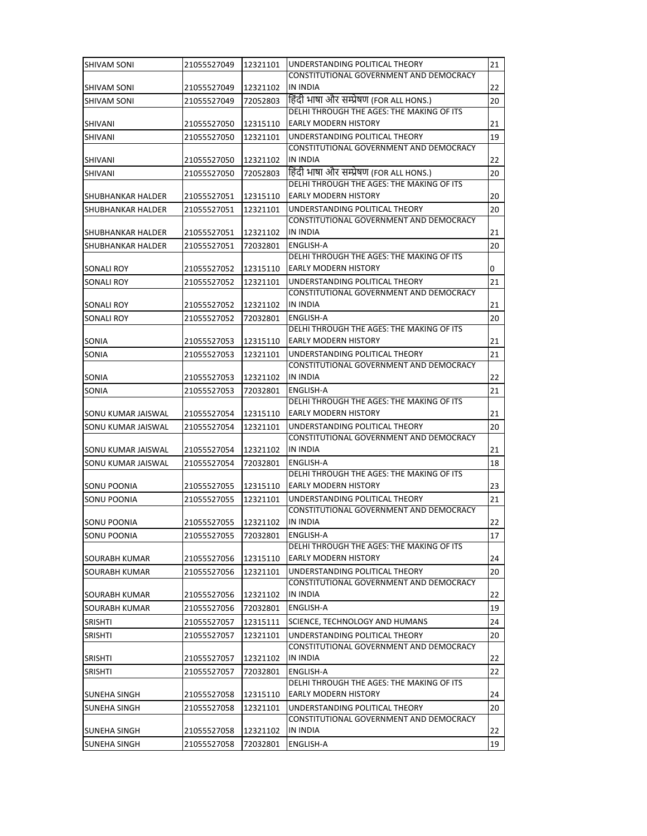| <b>SHIVAM SONI</b>   | 21055527049 | 12321101 | UNDERSTANDING POLITICAL THEORY                                                       | 21 |
|----------------------|-------------|----------|--------------------------------------------------------------------------------------|----|
|                      |             |          | CONSTITUTIONAL GOVERNMENT AND DEMOCRACY                                              |    |
| SHIVAM SONI          | 21055527049 | 12321102 | <b>IN INDIA</b>                                                                      | 22 |
| SHIVAM SONI          | 21055527049 | 72052803 | हिंदी भाषा और सम्प्रेषण (FOR ALL HONS.)<br>DELHI THROUGH THE AGES: THE MAKING OF ITS | 20 |
| SHIVANI              | 21055527050 | 12315110 | <b>EARLY MODERN HISTORY</b>                                                          | 21 |
| SHIVANI              | 21055527050 | 12321101 | UNDERSTANDING POLITICAL THEORY                                                       | 19 |
|                      |             |          | CONSTITUTIONAL GOVERNMENT AND DEMOCRACY                                              |    |
| SHIVANI              | 21055527050 | 12321102 | <b>IN INDIA</b>                                                                      | 22 |
| SHIVANI              | 21055527050 | 72052803 | हिंदी भाषा और सम्प्रेषण (FOR ALL HONS.)                                              | 20 |
|                      |             |          | DELHI THROUGH THE AGES: THE MAKING OF ITS<br><b>EARLY MODERN HISTORY</b>             |    |
| SHUBHANKAR HALDER    | 21055527051 | 12315110 | UNDERSTANDING POLITICAL THEORY                                                       | 20 |
| SHUBHANKAR HALDER    | 21055527051 | 12321101 | CONSTITUTIONAL GOVERNMENT AND DEMOCRACY                                              | 20 |
| SHUBHANKAR HALDER    | 21055527051 | 12321102 | IN INDIA                                                                             | 21 |
| SHUBHANKAR HALDER    | 21055527051 | 72032801 | <b>ENGLISH-A</b>                                                                     | 20 |
|                      |             |          | DELHI THROUGH THE AGES: THE MAKING OF ITS                                            |    |
| SONALI ROY           | 21055527052 | 12315110 | <b>IEARLY MODERN HISTORY</b>                                                         | 0  |
| <b>SONALI ROY</b>    | 21055527052 | 12321101 | UNDERSTANDING POLITICAL THEORY                                                       | 21 |
| SONALI ROY           | 21055527052 | 12321102 | CONSTITUTIONAL GOVERNMENT AND DEMOCRACY<br>IN INDIA                                  | 21 |
| SONALI ROY           | 21055527052 | 72032801 | <b>ENGLISH-A</b>                                                                     | 20 |
|                      |             |          | DELHI THROUGH THE AGES: THE MAKING OF ITS                                            |    |
| SONIA                | 21055527053 | 12315110 | <b>EARLY MODERN HISTORY</b>                                                          | 21 |
| SONIA                | 21055527053 | 12321101 | UNDERSTANDING POLITICAL THEORY                                                       | 21 |
|                      |             |          | CONSTITUTIONAL GOVERNMENT AND DEMOCRACY                                              |    |
| SONIA                | 21055527053 | 12321102 | IN INDIA                                                                             | 22 |
| SONIA                | 21055527053 | 72032801 | <b>ENGLISH-A</b><br>DELHI THROUGH THE AGES: THE MAKING OF ITS                        | 21 |
| SONU KUMAR JAISWAL   | 21055527054 | 12315110 | <b>EARLY MODERN HISTORY</b>                                                          | 21 |
| SONU KUMAR JAISWAL   | 21055527054 | 12321101 | UNDERSTANDING POLITICAL THEORY                                                       | 20 |
|                      |             |          | CONSTITUTIONAL GOVERNMENT AND DEMOCRACY                                              |    |
| SONU KUMAR JAISWAL   | 21055527054 | 12321102 | IN INDIA                                                                             | 21 |
| SONU KUMAR JAISWAL   | 21055527054 | 72032801 | <b>ENGLISH-A</b>                                                                     | 18 |
| SONU POONIA          | 21055527055 | 12315110 | DELHI THROUGH THE AGES: THE MAKING OF ITS<br>EARLY MODERN HISTORY                    | 23 |
| <b>SONU POONIA</b>   | 21055527055 | 12321101 | UNDERSTANDING POLITICAL THEORY                                                       | 21 |
|                      |             |          | CONSTITUTIONAL GOVERNMENT AND DEMOCRACY                                              |    |
| SONU POONIA          | 21055527055 | 12321102 | <b>IN INDIA</b>                                                                      | 22 |
| <b>SONU POONIA</b>   | 21055527055 | 72032801 | <b>ENGLISH-A</b>                                                                     | 17 |
|                      |             |          | DELHI THROUGH THE AGES: THE MAKING OF ITS                                            |    |
| SOURABH KUMAR        | 21055527056 | 12315110 | EARLY MODERN HISTORY                                                                 | 24 |
| <b>SOURABH KUMAR</b> | 21055527056 | 12321101 | UNDERSTANDING POLITICAL THEORY<br>CONSTITUTIONAL GOVERNMENT AND DEMOCRACY            | 20 |
| <b>SOURABH KUMAR</b> | 21055527056 | 12321102 | IN INDIA                                                                             | 22 |
| SOURABH KUMAR        | 21055527056 | 72032801 | ENGLISH-A                                                                            | 19 |
| <b>SRISHTI</b>       | 21055527057 | 12315111 | SCIENCE, TECHNOLOGY AND HUMANS                                                       | 24 |
| <b>SRISHTI</b>       | 21055527057 | 12321101 | UNDERSTANDING POLITICAL THEORY                                                       | 20 |
|                      |             |          | CONSTITUTIONAL GOVERNMENT AND DEMOCRACY                                              |    |
| <b>SRISHTI</b>       | 21055527057 | 12321102 | <b>IN INDIA</b>                                                                      | 22 |
| <b>SRISHTI</b>       | 21055527057 | 72032801 | ENGLISH-A                                                                            | 22 |
| SUNEHA SINGH         | 21055527058 | 12315110 | DELHI THROUGH THE AGES: THE MAKING OF ITS<br><b>EARLY MODERN HISTORY</b>             | 24 |
| SUNEHA SINGH         | 21055527058 | 12321101 | UNDERSTANDING POLITICAL THEORY                                                       | 20 |
|                      |             |          | CONSTITUTIONAL GOVERNMENT AND DEMOCRACY                                              |    |
| <b>SUNEHA SINGH</b>  | 21055527058 | 12321102 | IN INDIA                                                                             | 22 |
| <b>SUNEHA SINGH</b>  | 21055527058 | 72032801 | ENGLISH-A                                                                            | 19 |